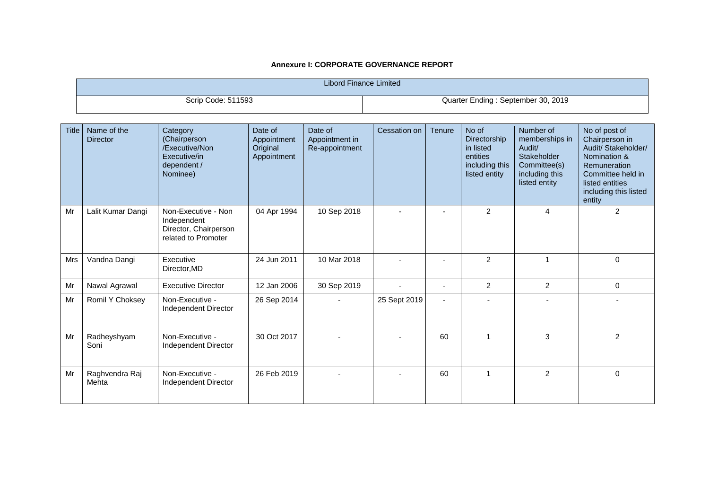| <b>Libord Finance Limited</b> |                                |                                                                                       |                                                   |                                             |                                    |               |                                                                                          |                                                                                                                |                                                                                                                                                                   |
|-------------------------------|--------------------------------|---------------------------------------------------------------------------------------|---------------------------------------------------|---------------------------------------------|------------------------------------|---------------|------------------------------------------------------------------------------------------|----------------------------------------------------------------------------------------------------------------|-------------------------------------------------------------------------------------------------------------------------------------------------------------------|
|                               | Scrip Code: 511593             |                                                                                       |                                                   |                                             | Quarter Ending: September 30, 2019 |               |                                                                                          |                                                                                                                |                                                                                                                                                                   |
| <b>Title</b>                  | Name of the<br><b>Director</b> | Category<br>(Chairperson<br>/Executive/Non<br>Executive/in<br>dependent /<br>Nominee) | Date of<br>Appointment<br>Original<br>Appointment | Date of<br>Appointment in<br>Re-appointment | Cessation on                       | <b>Tenure</b> | No of<br><b>Directorship</b><br>in listed<br>entities<br>including this<br>listed entity | Number of<br>memberships in<br>Audit/<br><b>Stakeholder</b><br>Committee(s)<br>including this<br>listed entity | No of post of<br>Chairperson in<br>Audit/ Stakeholder/<br>Nomination &<br>Remuneration<br>Committee held in<br>listed entities<br>including this listed<br>entity |
| Mr                            | Lalit Kumar Dangi              | Non-Executive - Non<br>Independent<br>Director, Chairperson<br>related to Promoter    | 04 Apr 1994                                       | 10 Sep 2018                                 |                                    |               | 2                                                                                        | 4                                                                                                              | 2                                                                                                                                                                 |
| Mrs                           | Vandna Dangi                   | Executive<br>Director, MD                                                             | 24 Jun 2011                                       | 10 Mar 2018                                 |                                    |               | $\overline{2}$                                                                           |                                                                                                                | 0                                                                                                                                                                 |
| Mr                            | Nawal Agrawal                  | <b>Executive Director</b>                                                             | 12 Jan 2006                                       | 30 Sep 2019                                 |                                    |               | 2                                                                                        | $\overline{2}$                                                                                                 | 0                                                                                                                                                                 |
| <b>M</b> <sub>r</sub>         | <b>Domil V Chokoov</b>         | Non Expositive                                                                        | $26$ Cap $2011$                                   |                                             | $25$ Cant $2010$                   |               |                                                                                          |                                                                                                                |                                                                                                                                                                   |

| Mrs | Vandna Dangi            | Executive<br>Director, MD               | 24 Jun 2011 | 10 Mar 2018              |              |    | $\overline{c}$ |                | 0              |
|-----|-------------------------|-----------------------------------------|-------------|--------------------------|--------------|----|----------------|----------------|----------------|
| Mr  | Nawal Agrawal           | <b>Executive Director</b>               | 12 Jan 2006 | 30 Sep 2019              |              | ۰  | $\overline{2}$ | $\overline{2}$ | 0              |
| Mr  | Romil Y Choksey         | Non-Executive -<br>Independent Director | 26 Sep 2014 | $\overline{\phantom{a}}$ | 25 Sept 2019 | ۰  |                |                |                |
| Mr  | Radheyshyam<br>Soni     | Non-Executive -<br>Independent Director | 30 Oct 2017 |                          |              | 60 |                | 3              | $\mathfrak{p}$ |
| Mr  | Raghvendra Raj<br>Mehta | Non-Executive -<br>Independent Director | 26 Feb 2019 |                          |              | 60 |                | $\mathcal{P}$  | $\Omega$       |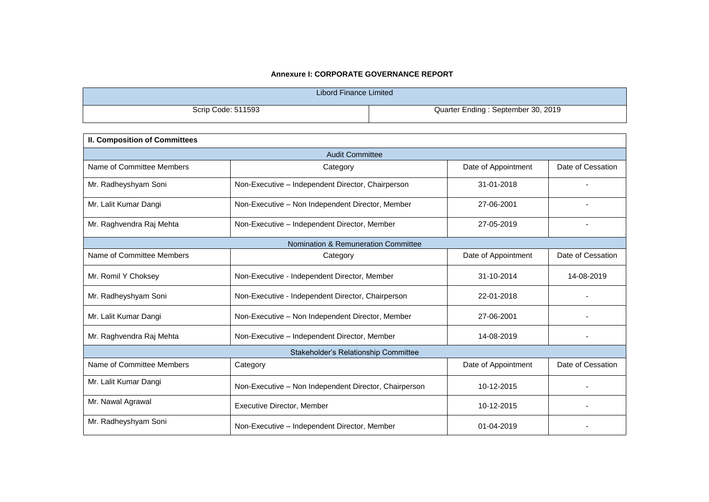| Libord Finance Limited |                                    |
|------------------------|------------------------------------|
| Scrip Code: 511593     | Quarter Ending: September 30, 2019 |

| <b>II. Composition of Committees</b> |                                                       |                     |                   |  |  |  |  |
|--------------------------------------|-------------------------------------------------------|---------------------|-------------------|--|--|--|--|
| <b>Audit Committee</b>               |                                                       |                     |                   |  |  |  |  |
| Name of Committee Members            | Category                                              | Date of Appointment | Date of Cessation |  |  |  |  |
| Mr. Radheyshyam Soni                 | Non-Executive - Independent Director, Chairperson     | 31-01-2018          |                   |  |  |  |  |
| Mr. Lalit Kumar Dangi                | Non-Executive - Non Independent Director, Member      | 27-06-2001          |                   |  |  |  |  |
| Mr. Raghvendra Raj Mehta             | Non-Executive - Independent Director, Member          | 27-05-2019          | $\blacksquare$    |  |  |  |  |
|                                      | Nomination & Remuneration Committee                   |                     |                   |  |  |  |  |
| Name of Committee Members            | Category                                              | Date of Appointment | Date of Cessation |  |  |  |  |
| Mr. Romil Y Choksey                  | Non-Executive - Independent Director, Member          | 31-10-2014          | 14-08-2019        |  |  |  |  |
| Mr. Radheyshyam Soni                 | Non-Executive - Independent Director, Chairperson     | 22-01-2018          |                   |  |  |  |  |
| Mr. Lalit Kumar Dangi                | Non-Executive - Non Independent Director, Member      | 27-06-2001          |                   |  |  |  |  |
| Mr. Raghvendra Raj Mehta             | Non-Executive - Independent Director, Member          | 14-08-2019          |                   |  |  |  |  |
|                                      | Stakeholder's Relationship Committee                  |                     |                   |  |  |  |  |
| Name of Committee Members            | Category                                              | Date of Appointment | Date of Cessation |  |  |  |  |
| Mr. Lalit Kumar Dangi                | Non-Executive - Non Independent Director, Chairperson | 10-12-2015          |                   |  |  |  |  |
| Mr. Nawal Agrawal                    | <b>Executive Director, Member</b>                     | 10-12-2015          |                   |  |  |  |  |
| Mr. Radheyshyam Soni                 | Non-Executive - Independent Director, Member          | 01-04-2019          |                   |  |  |  |  |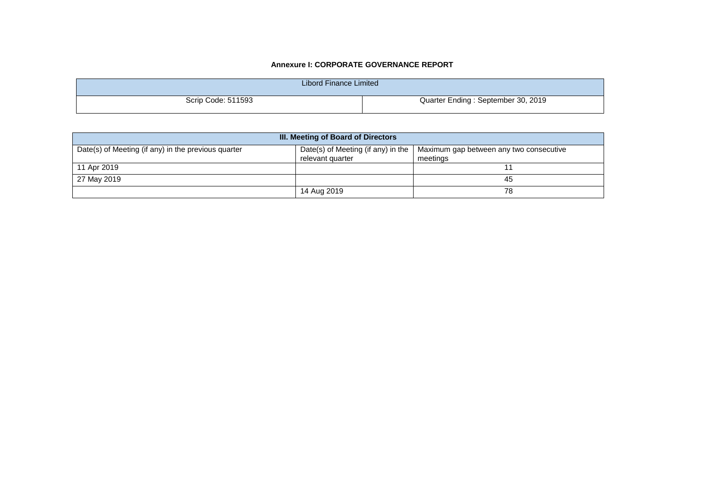| Libord Finance Limited |                                    |
|------------------------|------------------------------------|
| Scrip Code: 511593     | Quarter Ending: September 30, 2019 |

| III. Meeting of Board of Directors                  |                                                        |                                                     |  |  |  |  |
|-----------------------------------------------------|--------------------------------------------------------|-----------------------------------------------------|--|--|--|--|
| Date(s) of Meeting (if any) in the previous quarter | Date(s) of Meeting (if any) in the<br>relevant quarter | Maximum gap between any two consecutive<br>meetings |  |  |  |  |
| 11 Apr 2019                                         |                                                        |                                                     |  |  |  |  |
| 27 May 2019                                         |                                                        | 45                                                  |  |  |  |  |
|                                                     | 14 Aug 2019                                            | 78                                                  |  |  |  |  |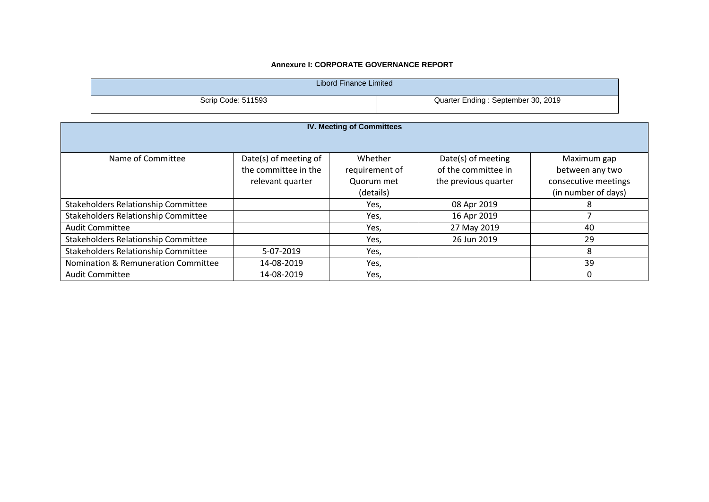| <b>Libord Finance Limited</b>                                                              |                                          |                                      |                                             |                                         |  |  |  |  |  |
|--------------------------------------------------------------------------------------------|------------------------------------------|--------------------------------------|---------------------------------------------|-----------------------------------------|--|--|--|--|--|
| Quarter Ending: September 30, 2019<br>Scrip Code: 511593                                   |                                          |                                      |                                             |                                         |  |  |  |  |  |
| <b>IV. Meeting of Committees</b>                                                           |                                          |                                      |                                             |                                         |  |  |  |  |  |
|                                                                                            |                                          |                                      |                                             |                                         |  |  |  |  |  |
| Date(s) of meeting of<br>Name of Committee<br>Whether<br>Date(s) of meeting<br>Maximum gap |                                          |                                      |                                             |                                         |  |  |  |  |  |
|                                                                                            | the committee in the<br>rolovant quartor | requirement of<br>$\Omega$ uorum mot | of the committee in<br>the providue quarter | between any two<br>concocutivo mootings |  |  |  |  |  |

|                                            | the committee in the | requirement of | of the committee in  | between any two      |
|--------------------------------------------|----------------------|----------------|----------------------|----------------------|
|                                            | relevant quarter     | Quorum met     | the previous quarter | consecutive meetings |
|                                            |                      | (details)      |                      | (in number of days)  |
| Stakeholders Relationship Committee        |                      | Yes,           | 08 Apr 2019          |                      |
| Stakeholders Relationship Committee        |                      | Yes,           | 16 Apr 2019          |                      |
| <b>Audit Committee</b>                     |                      | Yes,           | 27 May 2019          | 40                   |
| <b>Stakeholders Relationship Committee</b> |                      | Yes,           | 26 Jun 2019          | 29                   |
| Stakeholders Relationship Committee        | 5-07-2019            | Yes,           |                      |                      |
| Nomination & Remuneration Committee        | 14-08-2019           | Yes,           |                      | 39                   |
| <b>Audit Committee</b>                     | 14-08-2019           | Yes,           |                      |                      |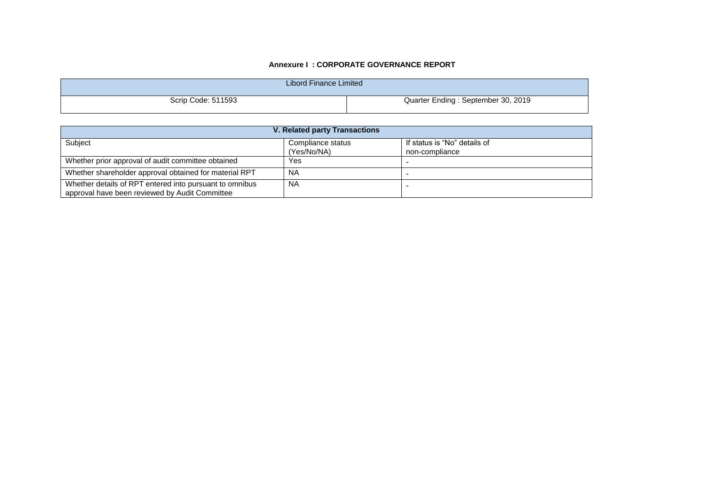| Libord Finance Limited |                                    |
|------------------------|------------------------------------|
| Scrip Code: 511593     | Quarter Ending: September 30, 2019 |

| V. Related party Transactions                                                                             |                                  |                                                |  |  |  |
|-----------------------------------------------------------------------------------------------------------|----------------------------------|------------------------------------------------|--|--|--|
| Subject                                                                                                   | Compliance status<br>(Yes/No/NA) | If status is "No" details of<br>non-compliance |  |  |  |
| Whether prior approval of audit committee obtained                                                        | Yes                              |                                                |  |  |  |
| Whether shareholder approval obtained for material RPT                                                    | ΝA                               |                                                |  |  |  |
| Whether details of RPT entered into pursuant to omnibus<br>approval have been reviewed by Audit Committee | <b>NA</b>                        |                                                |  |  |  |